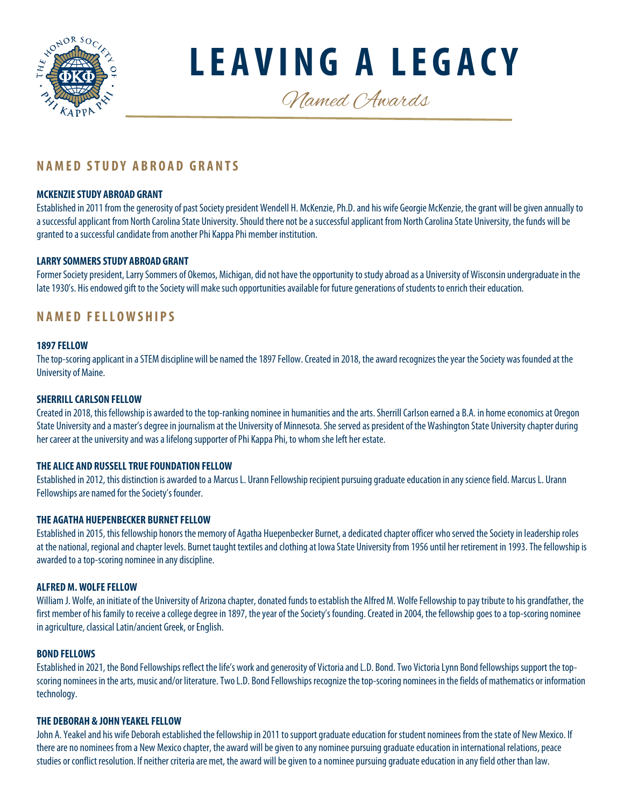

**LEAVING A LEGACY**

Named Awards

# **NAMED STUDY ABROAD GRANTS**

### **MCKENZIE STUDY ABROAD GRANT**

Established in 2011 from the generosity of past Society president Wendell H. McKenzie, Ph.D. and his wife Georgie McKenzie, the grant will be given annually to a successful applicant from North Carolina State University. Should there not be a successful applicant from North Carolina State University, the funds will be granted to a successful candidate from another Phi Kappa Phi member institution.

# **LARRY SOMMERS STUDY ABROAD GRANT**

Former Society president, Larry Sommers of Okemos, Michigan, did not have the opportunity to study abroad as a University of Wisconsin undergraduate in the late 1930's. His endowed gift to the Society will make such opportunities available for future generations of students to enrich their education.

# **NAMED FELLOWSHIPS**

#### **1897 FELLOW**

The top-scoring applicant in a STEM discipline will be named the 1897 Fellow. Created in 2018, the award recognizes the year the Society was founded at the University of Maine.

### **SHERRILL CARLSON FELLOW**

Created in 2018, this fellowship is awarded to the top-ranking nominee in humanities and the arts. Sherrill Carlson earned a B.A. in home economics at Oregon State University and a master's degree in journalism at the University of Minnesota. She served as president of the Washington State University chapter during her career at the university and was a lifelong supporter of Phi Kappa Phi, to whom she left her estate.

### **THE ALICE AND RUSSELL TRUE FOUNDATION FELLOW**

Established in 2012, this distinction is awarded to a Marcus L. Urann Fellowship recipient pursuing graduate education in anyscience field. Marcus L. Urann Fellowships are named for the Society's founder.

#### **THE AGATHA HUEPENBECKER BURNET FELLOW**

Established in 2015, this fellowship honors the memory of Agatha Huepenbecker Burnet, a dedicated chapter officer who served the Society in leadership roles at the national, regional and chapter levels. Burnet taught textiles and clothing at Iowa State University from 1956 until her retirement in 1993. The fellowship is awarded to a top-scoring nominee in any discipline.

#### **ALFRED M. WOLFE FELLOW**

William J. Wolfe, an initiate of the University of Arizona chapter, donated funds to establish the Alfred M. Wolfe Fellowshipto pay tribute to his grandfather, the first member of his family to receive a college degree in 1897, the year of the Society's founding. Created in 2004, the fellowship goes to a top-scoring nominee in agriculture, classical Latin/ancient Greek, or English.

#### **BOND FELLOWS**

Established in 2021, the Bond Fellowships reflect the life's work and generosity of Victoria and L.D. Bond. Two Victoria Lynn Bond fellowships support the topscoring nominees in the arts, music and/or literature. Two L.D. Bond Fellowships recognize the top-scoring nominees in the fields of mathematics or information technology.

#### **THE DEBORAH & JOHN YEAKEL FELLOW**

John A. Yeakel and his wife Deborah established the fellowship in 2011 to support graduate education for student nominees from the state of New Mexico. If there are no nominees from a New Mexico chapter, the award will be given to any nominee pursuing graduate education in international relations, peace studies or conflict resolution. If neither criteria are met, the award will be given to a nominee pursuing graduate education in any field other than law.